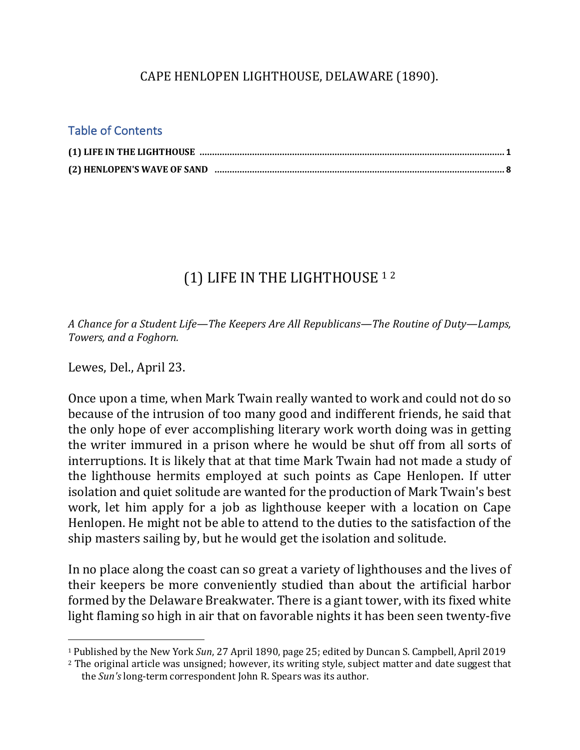### CAPE HENLOPEN LIGHTHOUSE, DELAWARE (1890).

#### Table of Contents

## (1) LIFE IN THE LIGHTHOUSE 12

*A* Chance for a Student Life—The Keepers Are All Republicans—The Routine of Duty—Lamps, Towers, and a Foghorn.

Lewes, Del., April 23.

 $\overline{a}$ 

Once upon a time, when Mark Twain really wanted to work and could not do so because of the intrusion of too many good and indifferent friends, he said that the only hope of ever accomplishing literary work worth doing was in getting the writer immured in a prison where he would be shut off from all sorts of interruptions. It is likely that at that time Mark Twain had not made a study of the lighthouse hermits employed at such points as Cape Henlopen. If utter isolation and quiet solitude are wanted for the production of Mark Twain's best work, let him apply for a job as lighthouse keeper with a location on Cape Henlopen. He might not be able to attend to the duties to the satisfaction of the ship masters sailing by, but he would get the isolation and solitude.

In no place along the coast can so great a variety of lighthouses and the lives of their keepers be more conveniently studied than about the artificial harbor formed by the Delaware Breakwater. There is a giant tower, with its fixed white light flaming so high in air that on favorable nights it has been seen twenty-five

<sup>&</sup>lt;sup>1</sup> Published by the New York *Sun*, 27 April 1890, page 25; edited by Duncan S. Campbell, April 2019

<sup>&</sup>lt;sup>2</sup> The original article was unsigned; however, its writing style, subject matter and date suggest that the *Sun's* long-term correspondent John R. Spears was its author.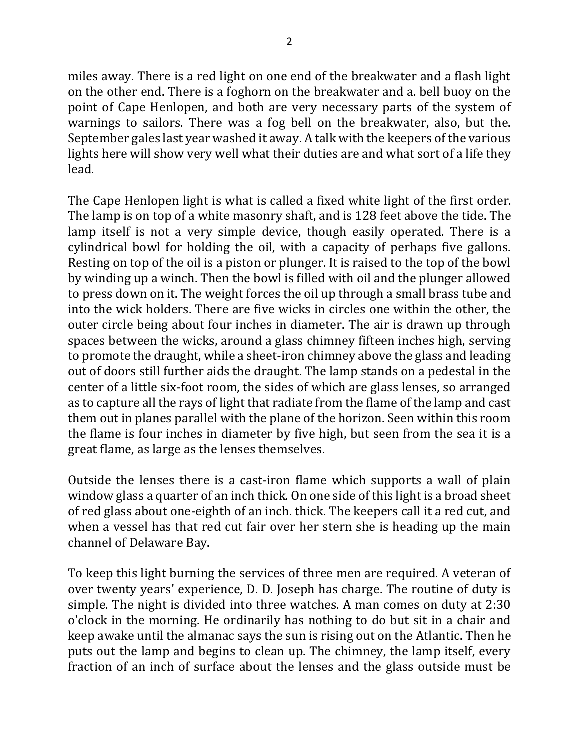miles away. There is a red light on one end of the breakwater and a flash light on the other end. There is a foghorn on the breakwater and a. bell buoy on the point of Cape Henlopen, and both are very necessary parts of the system of warnings to sailors. There was a fog bell on the breakwater, also, but the. September gales last year washed it away. A talk with the keepers of the various lights here will show very well what their duties are and what sort of a life they lead.

The Cape Henlopen light is what is called a fixed white light of the first order. The lamp is on top of a white masonry shaft, and is 128 feet above the tide. The lamp itself is not a very simple device, though easily operated. There is a cylindrical bowl for holding the oil, with a capacity of perhaps five gallons. Resting on top of the oil is a piston or plunger. It is raised to the top of the bowl by winding up a winch. Then the bowl is filled with oil and the plunger allowed to press down on it. The weight forces the oil up through a small brass tube and into the wick holders. There are five wicks in circles one within the other, the outer circle being about four inches in diameter. The air is drawn up through spaces between the wicks, around a glass chimney fifteen inches high, serving to promote the draught, while a sheet-iron chimney above the glass and leading out of doors still further aids the draught. The lamp stands on a pedestal in the center of a little six-foot room, the sides of which are glass lenses, so arranged as to capture all the rays of light that radiate from the flame of the lamp and cast them out in planes parallel with the plane of the horizon. Seen within this room the flame is four inches in diameter by five high, but seen from the sea it is a great flame, as large as the lenses themselves.

Outside the lenses there is a cast-iron flame which supports a wall of plain window glass a quarter of an inch thick. On one side of this light is a broad sheet of red glass about one-eighth of an inch. thick. The keepers call it a red cut, and when a vessel has that red cut fair over her stern she is heading up the main channel of Delaware Bay.

To keep this light burning the services of three men are required. A veteran of over twenty years' experience, D. D. Joseph has charge. The routine of duty is simple. The night is divided into three watches. A man comes on duty at 2:30 o'clock in the morning. He ordinarily has nothing to do but sit in a chair and keep awake until the almanac says the sun is rising out on the Atlantic. Then he puts out the lamp and begins to clean up. The chimney, the lamp itself, every fraction of an inch of surface about the lenses and the glass outside must be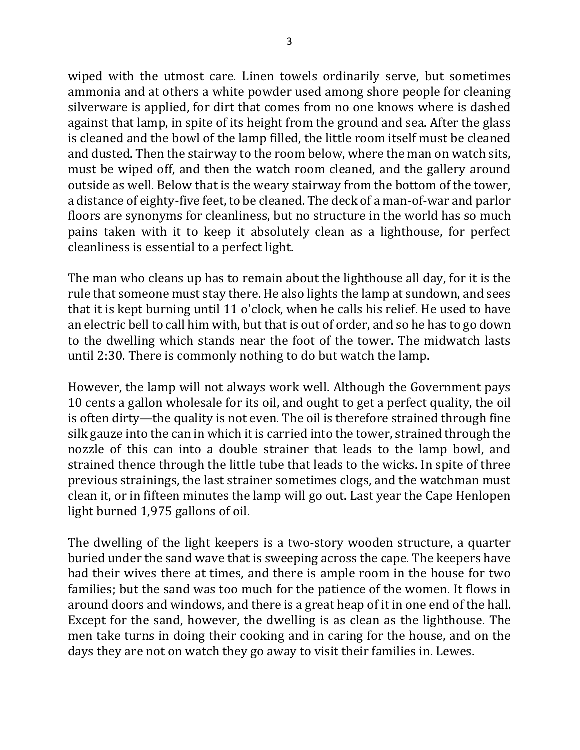wiped with the utmost care. Linen towels ordinarily serve, but sometimes ammonia and at others a white powder used among shore people for cleaning silverware is applied, for dirt that comes from no one knows where is dashed against that lamp, in spite of its height from the ground and sea. After the glass is cleaned and the bowl of the lamp filled, the little room itself must be cleaned and dusted. Then the stairway to the room below, where the man on watch sits, must be wiped off, and then the watch room cleaned, and the gallery around outside as well. Below that is the weary stairway from the bottom of the tower, a distance of eighty-five feet, to be cleaned. The deck of a man-of-war and parlor floors are synonyms for cleanliness, but no structure in the world has so much pains taken with it to keep it absolutely clean as a lighthouse, for perfect cleanliness is essential to a perfect light.

The man who cleans up has to remain about the lighthouse all day, for it is the rule that someone must stay there. He also lights the lamp at sundown, and sees that it is kept burning until 11 o'clock, when he calls his relief. He used to have an electric bell to call him with, but that is out of order, and so he has to go down to the dwelling which stands near the foot of the tower. The midwatch lasts until  $2:30$ . There is commonly nothing to do but watch the lamp.

However, the lamp will not always work well. Although the Government pays 10 cents a gallon wholesale for its oil, and ought to get a perfect quality, the oil is often dirty—the quality is not even. The oil is therefore strained through fine silk gauze into the can in which it is carried into the tower, strained through the nozzle of this can into a double strainer that leads to the lamp bowl, and strained thence through the little tube that leads to the wicks. In spite of three previous strainings, the last strainer sometimes clogs, and the watchman must clean it, or in fifteen minutes the lamp will go out. Last year the Cape Henlopen light burned 1,975 gallons of oil.

The dwelling of the light keepers is a two-story wooden structure, a quarter buried under the sand wave that is sweeping across the cape. The keepers have had their wives there at times, and there is ample room in the house for two families; but the sand was too much for the patience of the women. It flows in around doors and windows, and there is a great heap of it in one end of the hall. Except for the sand, however, the dwelling is as clean as the lighthouse. The men take turns in doing their cooking and in caring for the house, and on the days they are not on watch they go away to visit their families in. Lewes.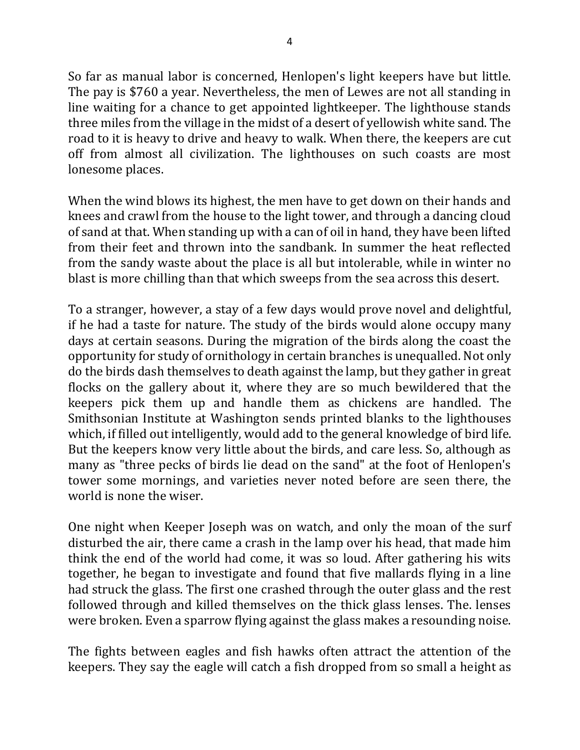So far as manual labor is concerned, Henlopen's light keepers have but little. The pay is \$760 a year. Nevertheless, the men of Lewes are not all standing in line waiting for a chance to get appointed lightkeeper. The lighthouse stands three miles from the village in the midst of a desert of yellowish white sand. The road to it is heavy to drive and heavy to walk. When there, the keepers are cut off from almost all civilization. The lighthouses on such coasts are most lonesome places.

When the wind blows its highest, the men have to get down on their hands and knees and crawl from the house to the light tower, and through a dancing cloud of sand at that. When standing up with a can of oil in hand, they have been lifted from their feet and thrown into the sandbank. In summer the heat reflected from the sandy waste about the place is all but intolerable, while in winter no blast is more chilling than that which sweeps from the sea across this desert.

To a stranger, however, a stay of a few days would prove novel and delightful, if he had a taste for nature. The study of the birds would alone occupy many days at certain seasons. During the migration of the birds along the coast the opportunity for study of ornithology in certain branches is unequalled. Not only do the birds dash themselves to death against the lamp, but they gather in great flocks on the gallery about it, where they are so much bewildered that the keepers pick them up and handle them as chickens are handled. The Smithsonian Institute at Washington sends printed blanks to the lighthouses which, if filled out intelligently, would add to the general knowledge of bird life. But the keepers know very little about the birds, and care less. So, although as many as "three pecks of birds lie dead on the sand" at the foot of Henlopen's tower some mornings, and varieties never noted before are seen there, the world is none the wiser.

One night when Keeper Joseph was on watch, and only the moan of the surf disturbed the air, there came a crash in the lamp over his head, that made him think the end of the world had come, it was so loud. After gathering his wits together, he began to investigate and found that five mallards flying in a line had struck the glass. The first one crashed through the outer glass and the rest followed through and killed themselves on the thick glass lenses. The lenses were broken. Even a sparrow flying against the glass makes a resounding noise.

The fights between eagles and fish hawks often attract the attention of the keepers. They say the eagle will catch a fish dropped from so small a height as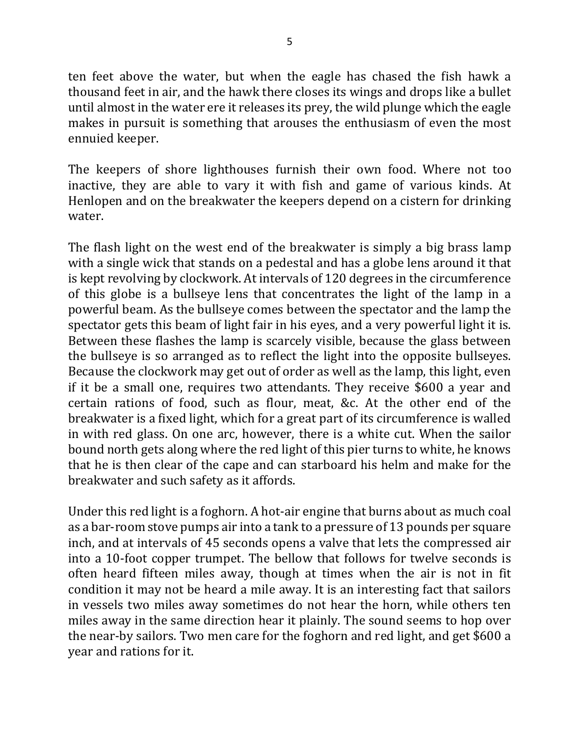ten feet above the water, but when the eagle has chased the fish hawk a thousand feet in air, and the hawk there closes its wings and drops like a bullet until almost in the water ere it releases its prey, the wild plunge which the eagle makes in pursuit is something that arouses the enthusiasm of even the most ennuied keeper.

The keepers of shore lighthouses furnish their own food. Where not too inactive, they are able to vary it with fish and game of various kinds. At Henlopen and on the breakwater the keepers depend on a cistern for drinking water.

The flash light on the west end of the breakwater is simply a big brass lamp with a single wick that stands on a pedestal and has a globe lens around it that is kept revolving by clockwork. At intervals of 120 degrees in the circumference of this globe is a bullseye lens that concentrates the light of the lamp in a powerful beam. As the bullseye comes between the spectator and the lamp the spectator gets this beam of light fair in his eyes, and a very powerful light it is. Between these flashes the lamp is scarcely visible, because the glass between the bullseye is so arranged as to reflect the light into the opposite bullseyes. Because the clockwork may get out of order as well as the lamp, this light, even if it be a small one, requires two attendants. They receive  $$600$  a year and certain rations of food, such as flour, meat, &c. At the other end of the breakwater is a fixed light, which for a great part of its circumference is walled in with red glass. On one arc, however, there is a white cut. When the sailor bound north gets along where the red light of this pier turns to white, he knows that he is then clear of the cape and can starboard his helm and make for the breakwater and such safety as it affords.

Under this red light is a foghorn. A hot-air engine that burns about as much coal as a bar-room stove pumps air into a tank to a pressure of 13 pounds per square inch, and at intervals of 45 seconds opens a valve that lets the compressed air into a 10-foot copper trumpet. The bellow that follows for twelve seconds is often heard fifteen miles away, though at times when the air is not in fit condition it may not be heard a mile away. It is an interesting fact that sailors in vessels two miles away sometimes do not hear the horn, while others ten miles away in the same direction hear it plainly. The sound seems to hop over the near-by sailors. Two men care for the foghorn and red light, and get \$600 a year and rations for it.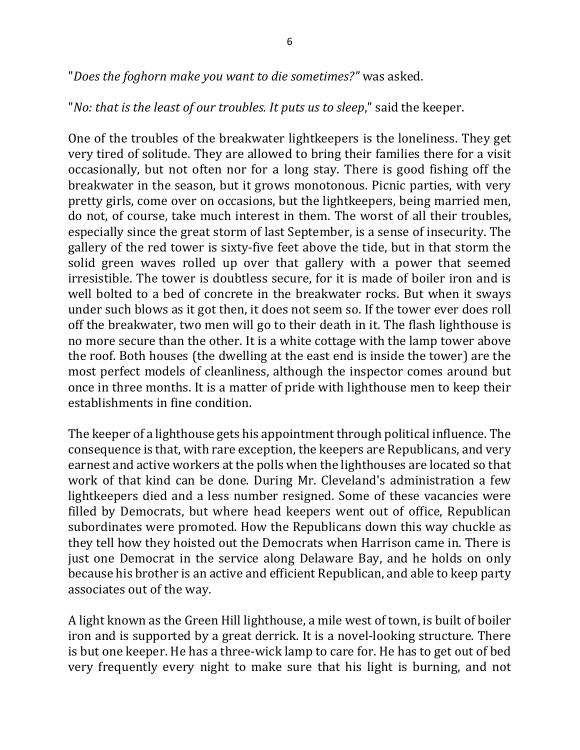"Does the foghorn make you want to die sometimes?" was asked.

"*No:* that is the least of our troubles. It puts us to sleep," said the keeper.

One of the troubles of the breakwater lightkeepers is the loneliness. They get very tired of solitude. They are allowed to bring their families there for a visit occasionally, but not often nor for a long stay. There is good fishing off the breakwater in the season, but it grows monotonous. Picnic parties, with very pretty girls, come over on occasions, but the lightkeepers, being married men, do not, of course, take much interest in them. The worst of all their troubles, especially since the great storm of last September, is a sense of insecurity. The gallery of the red tower is sixty-five feet above the tide, but in that storm the solid green waves rolled up over that gallery with a power that seemed irresistible. The tower is doubtless secure, for it is made of boiler iron and is well bolted to a bed of concrete in the breakwater rocks. But when it sways under such blows as it got then, it does not seem so. If the tower ever does roll off the breakwater, two men will go to their death in it. The flash lighthouse is no more secure than the other. It is a white cottage with the lamp tower above the roof. Both houses (the dwelling at the east end is inside the tower) are the most perfect models of cleanliness, although the inspector comes around but once in three months. It is a matter of pride with lighthouse men to keep their establishments in fine condition.

The keeper of a lighthouse gets his appointment through political influence. The consequence is that, with rare exception, the keepers are Republicans, and very earnest and active workers at the polls when the lighthouses are located so that work of that kind can be done. During Mr. Cleveland's administration a few lightkeepers died and a less number resigned. Some of these vacancies were filled by Democrats, but where head keepers went out of office, Republican subordinates were promoted. How the Republicans down this way chuckle as they tell how they hoisted out the Democrats when Harrison came in. There is just one Democrat in the service along Delaware Bay, and he holds on only because his brother is an active and efficient Republican, and able to keep party associates out of the way.

A light known as the Green Hill lighthouse, a mile west of town, is built of boiler iron and is supported by a great derrick. It is a novel-looking structure. There is but one keeper. He has a three-wick lamp to care for. He has to get out of bed very frequently every night to make sure that his light is burning, and not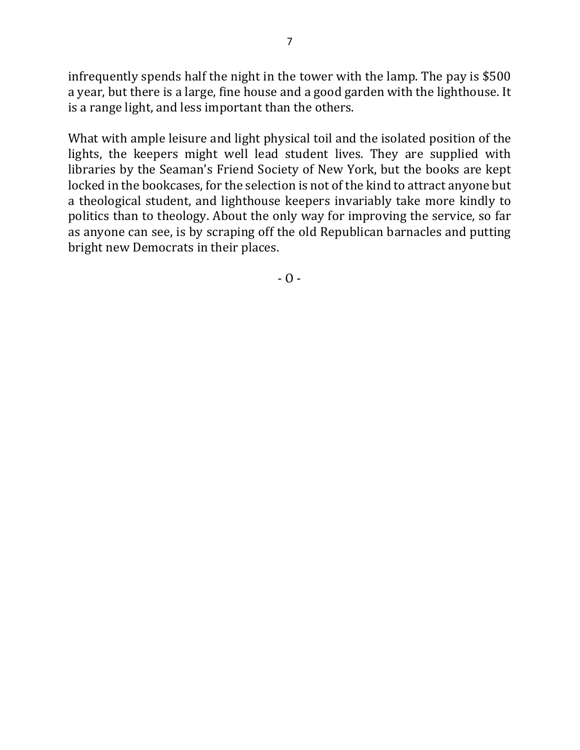infrequently spends half the night in the tower with the lamp. The pay is \$500 a year, but there is a large, fine house and a good garden with the lighthouse. It is a range light, and less important than the others.

What with ample leisure and light physical toil and the isolated position of the lights, the keepers might well lead student lives. They are supplied with libraries by the Seaman's Friend Society of New York, but the books are kept locked in the bookcases, for the selection is not of the kind to attract anyone but a theological student, and lighthouse keepers invariably take more kindly to politics than to theology. About the only way for improving the service, so far as anyone can see, is by scraping off the old Republican barnacles and putting bright new Democrats in their places.

 $- 0 -$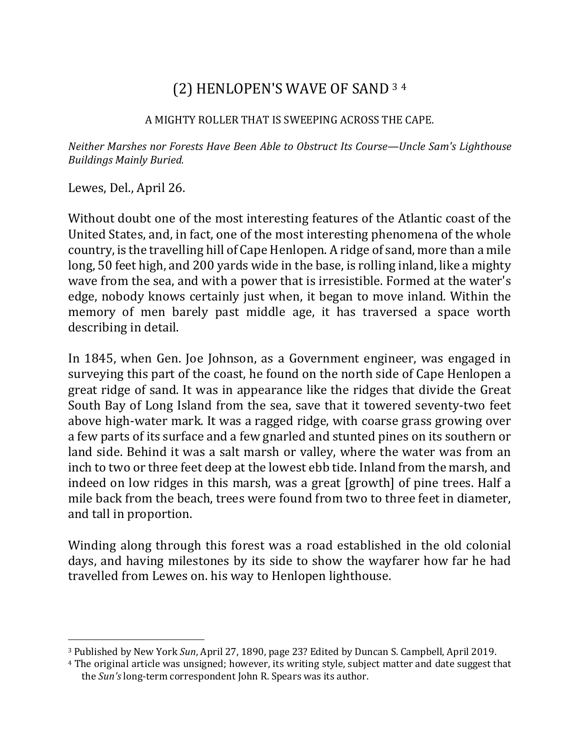# (2) HENLOPEN'S WAVE OF SAND 3 4

### A MIGHTY ROLLER THAT IS SWEEPING ACROSS THE CAPE.

*Neither Marshes nor Forests Have Been Able to Obstruct Its Course—Uncle Sam's Lighthouse Buildings Mainly Buried.*

Lewes, Del., April 26.

 $\overline{a}$ 

Without doubt one of the most interesting features of the Atlantic coast of the United States, and, in fact, one of the most interesting phenomena of the whole country, is the travelling hill of Cape Henlopen. A ridge of sand, more than a mile long, 50 feet high, and 200 yards wide in the base, is rolling inland, like a mighty wave from the sea, and with a power that is irresistible. Formed at the water's edge, nobody knows certainly just when, it began to move inland. Within the memory of men barely past middle age, it has traversed a space worth describing in detail.

In 1845, when Gen. Joe Johnson, as a Government engineer, was engaged in surveying this part of the coast, he found on the north side of Cape Henlopen a great ridge of sand. It was in appearance like the ridges that divide the Great South Bay of Long Island from the sea, save that it towered seventy-two feet above high-water mark. It was a ragged ridge, with coarse grass growing over a few parts of its surface and a few gnarled and stunted pines on its southern or land side. Behind it was a salt marsh or valley, where the water was from an inch to two or three feet deep at the lowest ebb tide. Inland from the marsh, and indeed on low ridges in this marsh, was a great [growth] of pine trees. Half a mile back from the beach, trees were found from two to three feet in diameter, and tall in proportion.

Winding along through this forest was a road established in the old colonial days, and having milestones by its side to show the wayfarer how far he had travelled from Lewes on. his way to Henlopen lighthouse.

<sup>&</sup>lt;sup>3</sup> Published by New York *Sun*, April 27, 1890, page 23? Edited by Duncan S. Campbell, April 2019.

<sup>&</sup>lt;sup>4</sup> The original article was unsigned; however, its writing style, subject matter and date suggest that the *Sun's* long-term correspondent John R. Spears was its author.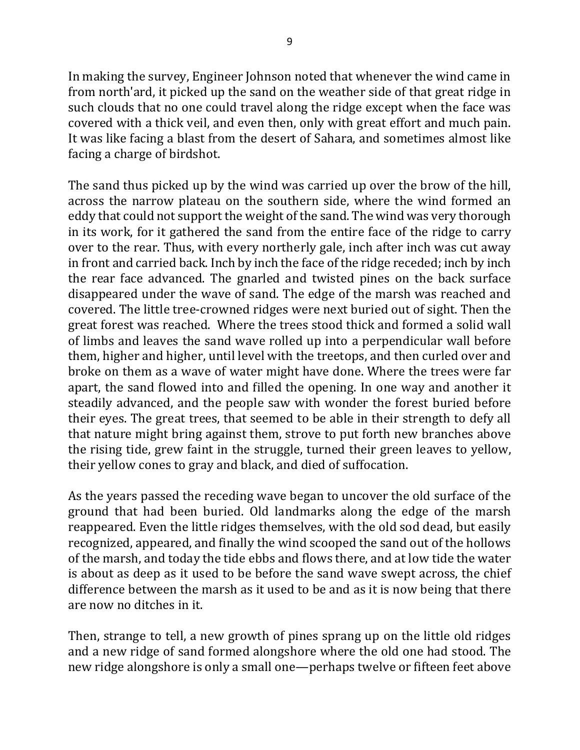In making the survey, Engineer Johnson noted that whenever the wind came in from north'ard, it picked up the sand on the weather side of that great ridge in such clouds that no one could travel along the ridge except when the face was covered with a thick veil, and even then, only with great effort and much pain. It was like facing a blast from the desert of Sahara, and sometimes almost like facing a charge of birdshot.

The sand thus picked up by the wind was carried up over the brow of the hill, across the narrow plateau on the southern side, where the wind formed an eddy that could not support the weight of the sand. The wind was very thorough in its work, for it gathered the sand from the entire face of the ridge to carry over to the rear. Thus, with every northerly gale, inch after inch was cut away in front and carried back. Inch by inch the face of the ridge receded; inch by inch the rear face advanced. The gnarled and twisted pines on the back surface disappeared under the wave of sand. The edge of the marsh was reached and covered. The little tree-crowned ridges were next buried out of sight. Then the great forest was reached. Where the trees stood thick and formed a solid wall of limbs and leaves the sand wave rolled up into a perpendicular wall before them, higher and higher, until level with the treetops, and then curled over and broke on them as a wave of water might have done. Where the trees were far apart, the sand flowed into and filled the opening. In one way and another it steadily advanced, and the people saw with wonder the forest buried before their eyes. The great trees, that seemed to be able in their strength to defy all that nature might bring against them, strove to put forth new branches above the rising tide, grew faint in the struggle, turned their green leaves to yellow, their yellow cones to gray and black, and died of suffocation.

As the years passed the receding wave began to uncover the old surface of the ground that had been buried. Old landmarks along the edge of the marsh reappeared. Even the little ridges themselves, with the old sod dead, but easily recognized, appeared, and finally the wind scooped the sand out of the hollows of the marsh, and today the tide ebbs and flows there, and at low tide the water is about as deep as it used to be before the sand wave swept across, the chief difference between the marsh as it used to be and as it is now being that there are now no ditches in it.

Then, strange to tell, a new growth of pines sprang up on the little old ridges and a new ridge of sand formed alongshore where the old one had stood. The new ridge alongshore is only a small one—perhaps twelve or fifteen feet above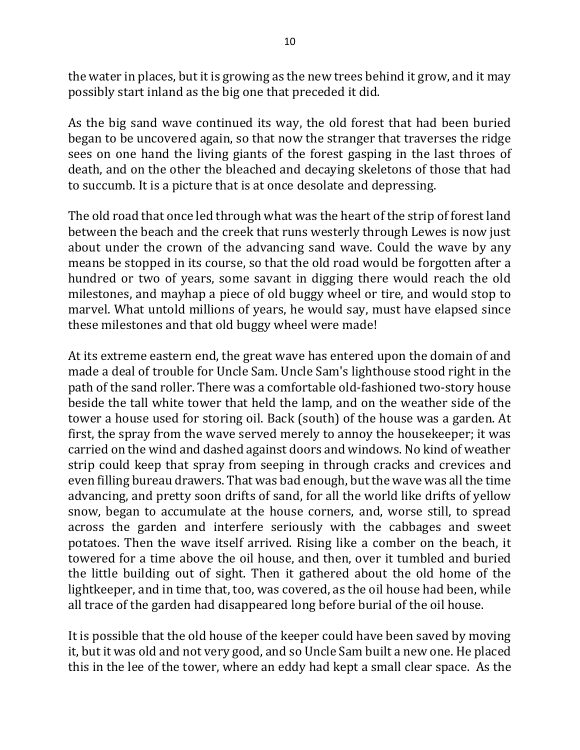the water in places, but it is growing as the new trees behind it grow, and it may possibly start inland as the big one that preceded it did.

As the big sand wave continued its way, the old forest that had been buried began to be uncovered again, so that now the stranger that traverses the ridge sees on one hand the living giants of the forest gasping in the last throes of death, and on the other the bleached and decaying skeletons of those that had to succumb. It is a picture that is at once desolate and depressing.

The old road that once led through what was the heart of the strip of forest land between the beach and the creek that runs westerly through Lewes is now just about under the crown of the advancing sand wave. Could the wave by any means be stopped in its course, so that the old road would be forgotten after a hundred or two of years, some savant in digging there would reach the old milestones, and mayhap a piece of old buggy wheel or tire, and would stop to marvel. What untold millions of years, he would say, must have elapsed since these milestones and that old buggy wheel were made!

At its extreme eastern end, the great wave has entered upon the domain of and made a deal of trouble for Uncle Sam. Uncle Sam's lighthouse stood right in the path of the sand roller. There was a comfortable old-fashioned two-story house beside the tall white tower that held the lamp, and on the weather side of the tower a house used for storing oil. Back (south) of the house was a garden. At first, the spray from the wave served merely to annoy the housekeeper; it was carried on the wind and dashed against doors and windows. No kind of weather strip could keep that spray from seeping in through cracks and crevices and even filling bureau drawers. That was bad enough, but the wave was all the time advancing, and pretty soon drifts of sand, for all the world like drifts of yellow snow, began to accumulate at the house corners, and, worse still, to spread across the garden and interfere seriously with the cabbages and sweet potatoes. Then the wave itself arrived. Rising like a comber on the beach, it towered for a time above the oil house, and then, over it tumbled and buried the little building out of sight. Then it gathered about the old home of the lightkeeper, and in time that, too, was covered, as the oil house had been, while all trace of the garden had disappeared long before burial of the oil house.

It is possible that the old house of the keeper could have been saved by moving it, but it was old and not very good, and so Uncle Sam built a new one. He placed this in the lee of the tower, where an eddy had kept a small clear space. As the